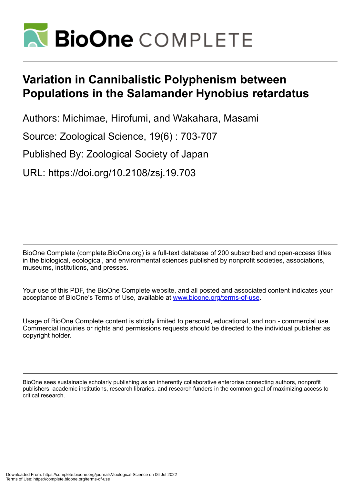

# **Variation in Cannibalistic Polyphenism between Populations in the Salamander Hynobius retardatus**

Authors: Michimae, Hirofumi, and Wakahara, Masami

Source: Zoological Science, 19(6) : 703-707

Published By: Zoological Society of Japan

URL: https://doi.org/10.2108/zsj.19.703

BioOne Complete (complete.BioOne.org) is a full-text database of 200 subscribed and open-access titles in the biological, ecological, and environmental sciences published by nonprofit societies, associations, museums, institutions, and presses.

Your use of this PDF, the BioOne Complete website, and all posted and associated content indicates your acceptance of BioOne's Terms of Use, available at www.bioone.org/terms-of-use.

Usage of BioOne Complete content is strictly limited to personal, educational, and non - commercial use. Commercial inquiries or rights and permissions requests should be directed to the individual publisher as copyright holder.

BioOne sees sustainable scholarly publishing as an inherently collaborative enterprise connecting authors, nonprofit publishers, academic institutions, research libraries, and research funders in the common goal of maximizing access to critical research.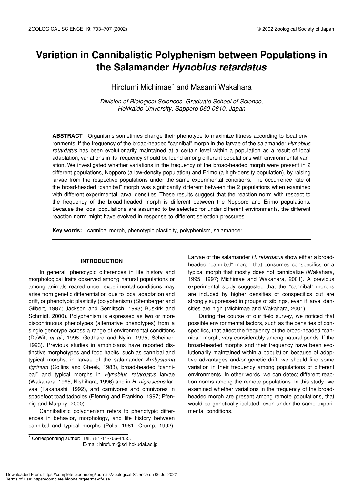# **Variation in Cannibalistic Polyphenism between Populations in the Salamander** *Hynobius retardatus*

Hirofumi Michimae\* and Masami Wakahara

*Division of Biological Sciences, Graduate School of Science, Hokkaido University, Sapporo 060-0810, Japan*

**ABSTRACT**—Organisms sometimes change their phenotype to maximize fitness according to local environments. If the frequency of the broad-headed "cannibal" morph in the larvae of the salamander *Hynobius retardatus* has been evolutionarily maintained at a certain level within a population as a result of local adaptation, variations in its frequency should be found among different populations with environmental variation. We investigated whether variations in the frequency of the broad-headed morph were present in 2 different populations, Nopporo (a low-density population) and Erimo (a high-density population), by raising larvae from the respective populations under the same experimental conditions. The occurrence rate of the broad-headed "cannibal" morph was significantly different between the 2 populations when examined with different experimental larval densities. These results suggest that the reaction norm with respect to the frequency of the broad-headed morph is different between the Nopporo and Erimo populations. Because the local populations are assumed to be selected for under different environments, the different reaction norm might have evolved in response to different selection pressures.

**Key words:** cannibal morph, phenotypic plasticity, polyphenism, salamander

## **INTRODUCTION**

In general, phenotypic differences in life history and morphological traits observed among natural populations or among animals reared under experimental conditions may arise from genetic differentiation due to local adaptation and drift, or phenotypic plasticity (polyphenism) (Stemberger and Gilbert, 1987; Jackson and Semlitsch, 1993; Buskirk and Schmidt, 2000). Polyphenism is expressed as two or more discontinuous phenotypes (alternative phenotypes) from a single genotype across a range of environmental conditions (DeWitt *et al*., 1998; Gotthard and Nylin, 1995; Scheiner, 1993). Previous studies in amphibians have reported distinctive morphotypes and food habits, such as cannibal and typical morphs, in larvae of the salamander *Ambystoma tigrinum* (Collins and Cheek, 1983), broad-headed "cannibal" and typical morphs in *Hynobius retardatus* larvae (Wakahara, 1995; Nishihara, 1996) and in *H. nigrescens* larvae (Takahashi, 1992), and carnivores and omnivores in spadefoot toad tadpoles (Pfennig and Frankino, 1997; Pfennig and Murphy, 2000).

Cannibalistic polyphenism refers to phenotypic differences in behavior, morphology, and life history between cannibal and typical morphs (Polis, 1981; Crump, 1992).

\* Corresponding author: Tel. +81-11-706-4455.

E-mail: hirofumi@sci.hokudai.ac.jp

Larvae of the salamander *H. retardatus* show either a broadheaded "cannibal" morph that consumes conspecifics or a typical morph that mostly does not cannibalize (Wakahara, 1995, 1997; Michimae and Wakahara, 2001). A previous experimental study suggested that the "cannibal" morphs are induced by higher densities of conspecifics but are strongly suppressed in groups of siblings, even if larval densities are high (Michimae and Wakahara, 2001).

During the course of our field survey, we noticed that possible environmental factors, such as the densities of conspecifics, that affect the frequency of the broad-headed "cannibal" morph, vary considerably among natural ponds. If the broad-headed morphs and their frequency have been evolutionarily maintained within a population because of adaptive advantages and/or genetic drift, we should find some variation in their frequency among populations of different environments. In other words, we can detect different reaction norms among the remote populations. In this study, we examined whether variations in the frequency of the broadheaded morph are present among remote populations, that would be genetically isolated, even under the same experimental conditions.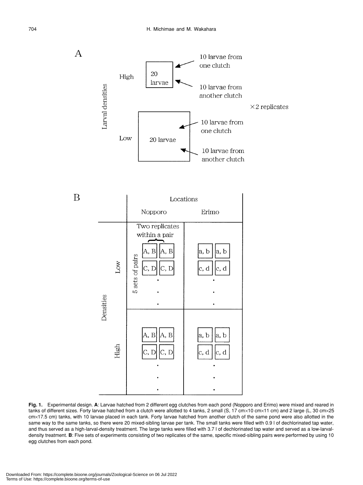

**Fig. 1.** Experimental design. **A**: Larvae hatched from 2 different egg clutches from each pond (Nopporo and Erimo) were mixed and reared in tanks of different sizes. Forty larvae hatched from a clutch were allotted to 4 tanks, 2 small (S, 17 cm×10 cm×11 cm) and 2 large (L, 30 cm×25 cm×17.5 cm) tanks, with 10 larvae placed in each tank. Forty larvae hatched from another clutch of the same pond were also allotted in the same way to the same tanks, so there were 20 mixed-sibling larvae per tank. The small tanks were filled with 0.9 l of dechlorinated tap water, and thus served as a high-larval-density treatment. The large tanks were filled with 3.7 l of dechlorinated tap water and served as a low-larvaldensity treatment. **B**: Five sets of experiments consisting of two replicates of the same, specific mixed-sibling pairs were performed by using 10 egg clutches from each pond.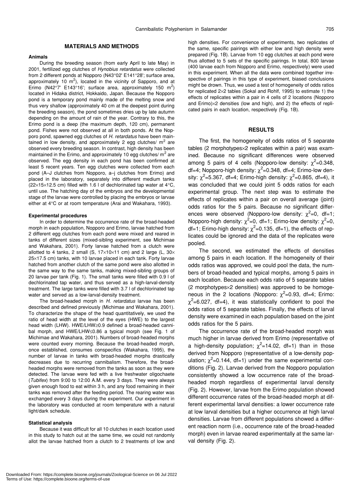#### **MATERIALS AND METHODS**

#### **Animals**

During the breeding season (from early April to late May) in 2001, fertilized egg clutches of *Hynobius retardatus* were collected from 2 different ponds at Nopporo (N43°02' E141°28'; surface area, approximately 10  $m^2$ ), located in the vicinity of Sapporo, and at Erimo (N42°7' E143°16'; surface area, approximately 150 m<sup>2</sup>) located in Hidaka district, Hokkaido, Japan. Because the Nopporo pond is a temporary pond mainly made of the melting snow and thus very shallow (approximately 40 cm at the deepest point during the breeding season), the pond sometimes dries up by late autumn depending on the amount of rain of the year. Contrary to this, the Erimo pond is a deep (the maximum depth, 120 cm), permanent pond. Fishes were not observed at all in both ponds. At the Nopporo pond, spawned egg clutches of *H. retardatus* have been maintained in low density, and approximately 2 egg clutches/ $m^2$  are observed every breeding season. In contrast, high density has been maintained in the Erimo, and approximately 10 egg clutches/ $m^2$  are observed. The egg density in each pond has been confirmed at least 5 recent years. Ten egg clutches were collected from each pond (A–J clutches from Nopporo, a–j clutches from Erimo) and placed in the laboratory, separately into different medium tanks  $(22\times15\times12.5$  cm) filled with 1.6 l of dechlorinated tap water at 4 $\rm{°C}$ , until use. The hatching day of the embryos and the developmental stage of the larvae were controlled by placing the embryos or larvae either at 4°C or at room temperature (Arai and Wakahara, 1993).

#### **Experimental procedures**

In order to determine the occurrence rate of the broad-headed morph in each population, Nopporo and Erimo, larvae hatched from 2 different egg clutches from each pond were mixed and reared in tanks of different sizes (mixed-sibling experiment, see Michimae and Wakahara, 2001). Forty larvae hatched from a clutch were allotted to 4 tanks, 2 small (S,  $17\times10\times11$  cm) and 2 large (L,  $30\times$ 25×17.5 cm) tanks, with 10 larvae placed in each tank. Forty larvae hatched from another clutch of the same pond were also allotted in the same way to the same tanks, making mixed-sibling groups of 20 larvae per tank (Fig. 1). The small tanks were filled with 0.9 l of dechlorinated tap water, and thus served as a high-larval-density treatment. The large tanks were filled with 3.7 l of dechlorinated tap water and served as a low-larval-density treatment.

The broad-headed morph in *H. retardatus* larvae has been described and defined previously (Michimae and Wakahara, 2001). To characterize the shape of the head quantitatively, we used the ratio of head width at the level of the eyes (HWE) to the largest head width (LHW). HWE/LHW≥0.9 defined a broad-headed cannibal morph, and HWE/LHW≤0.86 a typical morph (see Fig. 1 of Michimae and Wakahara, 2001). Numbers of broad-headed morphs were counted every morning. Because the broad-headed morph, once established, consumes conspecifics (Wakahara, 1995), the number of larvae in tanks with broad-headed morphs drastically decreases due to recurring cannibalism. Therefore, the broadheaded morphs were removed from the tanks as soon as they were detected. The larvae were fed with a live freshwater oligochaete (*Tubifex*) from 9:00 to 12:00 A.M. every 3 days. They were always given enough food to eat within 3 h, and any food remaining in their tanks was removed after the feeding period. The rearing water was exchanged every 3 days during the experiment. Our experiment in the laboratory was conducted at room temperature with a natural light/dark schedule.

#### **Statistical analysis**

Because it was difficult for all 10 clutches in each location used in this study to hatch out at the same time, we could not randomly allot the larvae hatched from a clutch to 2 treatments of low and high densities. For convenience of experiments, two replicates of the same, specific pairings with either low and high density were prepared (Fig. 1B). Larvae from 10 egg clutches at each pond were thus allotted to 5 sets of the specific pairings. In total, 800 larvae (400 larvae each from Nopporo and Erimo, respectively) were used in this experiment. When all the data were combined together irrespective of pairings in this type of experiment, biased conclusions might be drown. Thus, we used a test of homogeneity of odds ratios for replicated 2×2 tables (Sokal and Rohlf, 1995) to estimate 1) the effects of replicates within a pair in 4 cells of 2 locations (Nopporo and Erimo)×2 densities (low and high), and 2) the effects of replicated pairs in each location, respectively (Fig. 1B).

### **RESULTS**

The first, the homogeneity of odds ratios of 5 separate tables (2 morphotypes×2 replicates within a pair) was examined. Because no significant differences were observed among 5 pairs of 4 cells (Nopporo-low density:  $\chi^2$ =0.348, df=4; Nopporo-high density:  $\chi^2$ =0.348, df=4; Erimo-low density:  $\chi^2$ =5.367, df=4; Erimo-high density:  $\chi^2$ =0.865, df=4), it was concluded that we could joint 5 odds ratios for each experimental group. The next step was to estimate the effects of replicates within a pair on overall average (joint) odds ratios for the 5 pairs. Because no significant differences were observed (Nopporo-low density:  $\chi^2$ =0, df=1; Nopporo-high density:  $\chi^2$ =0, df=1; Erimo-low density:  $\chi^2$ =0, df=1; Erimo-high density:  $\chi^2$ =0.135, df=1), the effects of replicates could be ignored and the data of the replicates were pooled.

The second, we estimated the effects of densities among 5 pairs in each location. If the homogeneity of their odds ratios was approved, we could pool the data, the numbers of broad-headed and typical morphs, among 5 pairs in each location. Because each odds ratio of 5 separate tables (2 morphotypes×2 densities) was approved to be homogeneous in the 2 locations (Nopporo:  $\chi^2$ =0.93, df=4; Erimo:  $\chi^2$ =6.027, df=4), it was statistically confident to pool the odds ratios of 5 separate tables. Finally, the effects of larval density were examined in each population based on the joint odds ratios for the 5 pairs.

The occurrence rate of the broad-headed morph was much higher in larvae derived from Erimo (representative of a high-density population;  $\chi^2$ =14.02, df=1) than in those derived from Nopporo (representative of a low-density population;  $\chi^2$ =0.144, df=1) under the same experimental conditions (Fig. 2). Larvae derived from the Nopporo population consistently showed a low occurrence rate of the broadheaded morph regardless of experimental larval density (Fig. 2). However, larvae from the Erimo population showed different occurrence rates of the broad-headed morph at different experimental larval densities: a lower occurrence rate at low larval densities but a higher occurrence at high larval densities. Larvae from different populations showed a different reaction norm (i.e., occurrence rate of the broad-headed morph) even in larvae reared experimentally at the same larval density (Fig. 2).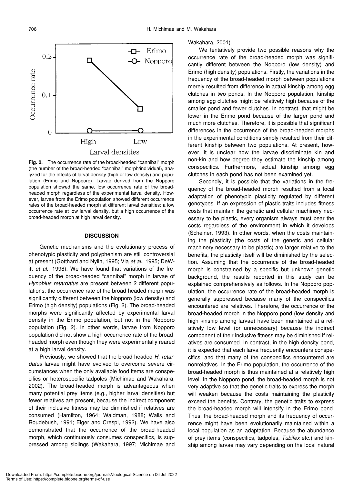

**Fig. 2.** The occurrence rate of the broad-headed "cannibal" morph (the number of the broad-headed "cannibal" morph/individual), analyzed for the effects of larval density (high or low density) and population (Erimo and Nopporo). Larvae derived from the Nopporo population showed the same, low occurrence rate of the broadheaded morph regardless of the experimental larval density. However, larvae from the Erimo population showed different occurrence rates of the broad-headed morph at different larval densities: a low occurrence rate at low larval density, but a high occurrence of the broad-headed morph at high larval density.

#### **DISCUSSION**

Genetic mechanisms and the evolutionary process of phenotypic plasticity and polyphenism are still controversial at present (Gotthard and Nylin, 1995; Via *et al*., 1995; DeWitt *et al*., 1998). We have found that variations of the frequency of the broad-headed "cannibal" morph in larvae of *Hynobius retardatus* are present between 2 different populations: the occurrence rate of the broad-headed morph was significantly different between the Nopporo (low density) and Erimo (high density) populations (Fig. 2). The broad-headed morphs were significantly affected by experimental larval density in the Erimo population, but not in the Nopporo population (Fig. 2). In other words, larvae from Nopporo population did not show a high occurrence rate of the broadheaded morph even though they were experimentally reared at a high larval density.

Previously, we showed that the broad-headed *H. retardatus* larvae might have evolved to overcome severe circumstances when the only available food items are conspecifics or heterospecific tadpoles (Michimae and Wakahara, 2002). The broad-headed morph is advantageous when many potential prey items (e.g., higher larval densities) but fewer relatives are present, because the indirect component of their inclusive fitness may be diminished if relatives are consumed (Hamilton, 1964; Waldman, 1988; Walls and Roudebush, 1991; Elger and Crespi, 1992). We have also demonstrated that the occurrence of the broad-headed morph, which continuously consumes conspecifics, is suppressed among siblings (Wakahara, 1997; Michimae and Wakahara, 2001).

We tentatively provide two possible reasons why the occurrence rate of the broad-headed morph was significantly different between the Nopporo (low density) and Erimo (high density) populations. Firstly, the variations in the frequency of the broad-headed morph between populations merely resulted from difference in actual kinship among egg clutches in two ponds. In the Nopporo population, kinship among egg clutches might be relatively high because of the smaller pond and fewer clutches. In contrast, that might be lower in the Erimo pond because of the larger pond and much more clutches. Therefore, it is possible that significant differences in the occurrence of the broad-headed morphs in the experimental conditions simply resulted from their different kinship between two populations. At present, however, it is unclear how the larvae discriminate kin and non-kin and how degree they estimate the kinship among conspecifics. Furthermore, actual kinship among egg clutches in each pond has not been examined yet.

Secondly, it is possible that the variations in the frequency of the broad-headed morph resulted from a local adaptation of phenotypic plasticity regulated by different genotypes. If an expression of plastic traits includes fitness costs that maintain the genetic and cellular machinery necessary to be plastic, every organism always must bear the costs regardless of the environment in which it develops (Scheiner, 1993). In other words, when the costs maintaining the plasticity (the costs of the genetic and cellular machinery necessary to be plastic) are larger relative to the benefits, the plasticity itself will be diminished by the selection. Assuming that the occurrence of the broad-headed morph is constrained by a specific but unknown genetic background, the results reported in this study can be explained comprehensively as follows. In the Nopporo population, the occurrence rate of the broad-headed morph is generally suppressed because many of the conspecifics encountered are relatives. Therefore, the occurrence of the broad-headed morph in the Nopporo pond (low density and high kinship among larvae) have been maintained at a relatively low level (or unnecessary) because the indirect component of their inclusive fitness may be diminished if relatives are consumed. In contrast, in the high density pond, it is expected that each larva frequently encounters conspecifics, and that many of the conspecifics encountered are nonrelatives. In the Erimo population, the occurrence of the broad-headed morph is thus maintained at a relatively high level. In the Nopporo pond, the broad-headed morph is not very adaptive so that the genetic traits to express the morph will weaken because the costs maintaining the plasticity exceed the benefits. Contrary, the genetic traits to express the broad-headed morph will intensify in the Erimo pond. Thus, the broad-headed morph and its frequency of occurrence might have been evolutionarily maintained within a local population as an adaptation. Because the abundance of prey items (conspecifics, tadpoles, *Tubifex* etc.) and kinship among larvae may vary depending on the local natural